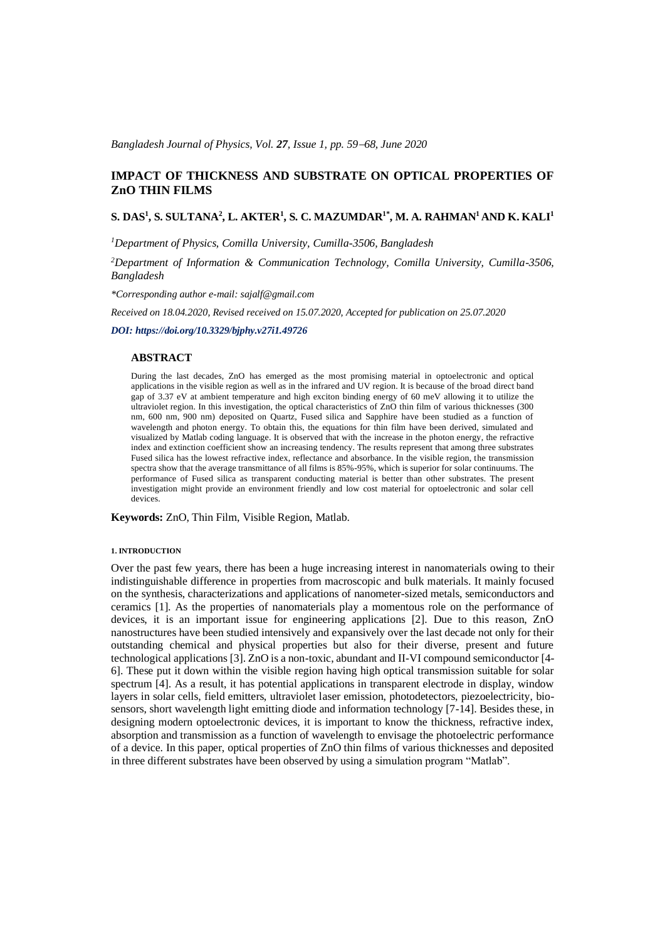*Bangladesh Journal of Physics, Vol. 27, Issue 1, pp. 59*−*68, June 2020*

# **IMPACT OF THICKNESS AND SUBSTRATE ON OPTICAL PROPERTIES OF ZnO THIN FILMS**

## **S. DAS<sup>1</sup> , S. SULTANA<sup>2</sup> , L. AKTER<sup>1</sup> , S. C. MAZUMDAR1\*, M. A. RAHMAN<sup>1</sup>AND K. KALI<sup>1</sup>**

*<sup>1</sup>Department of Physics, Comilla University, Cumilla-3506, Bangladesh*

*<sup>2</sup>Department of Information & Communication Technology, Comilla University, Cumilla-3506, Bangladesh*

*\*Corresponding author e-mail: sajalf@gmail.com*

*Received on 18.04.2020, Revised received on 15.07.2020, Accepted for publication on 25.07.2020*

*DOI: https://doi.org/10.3329/bjphy.v27i1.49726*

#### **ABSTRACT**

During the last decades, ZnO has emerged as the most promising material in optoelectronic and optical applications in the visible region as well as in the infrared and UV region. It is because of the broad direct band gap of 3.37 eV at ambient temperature and high exciton binding energy of 60 meV allowing it to utilize the ultraviolet region. In this investigation, the optical characteristics of ZnO thin film of various thicknesses (300 nm, 600 nm, 900 nm) deposited on Quartz, Fused silica and Sapphire have been studied as a function of wavelength and photon energy. To obtain this, the equations for thin film have been derived, simulated and visualized by Matlab coding language. It is observed that with the increase in the photon energy, the refractive index and extinction coefficient show an increasing tendency. The results represent that among three substrates Fused silica has the lowest refractive index, reflectance and absorbance. In the visible region, the transmission spectra show that the average transmittance of all films is 85%-95%, which is superior for solar continuums. The performance of Fused silica as transparent conducting material is better than other substrates. The present investigation might provide an environment friendly and low cost material for optoelectronic and solar cell devices.

**Keywords:** ZnO, Thin Film, Visible Region, Matlab.

#### **1. INTRODUCTION**

Over the past few years, there has been a huge increasing interest in nanomaterials owing to their indistinguishable difference in properties from macroscopic and bulk materials. It mainly focused on the synthesis, characterizations and applications of nanometer-sized metals, semiconductors and ceramics [1]. As the properties of nanomaterials play a momentous role on the performance of devices, it is an important issue for engineering applications [2]. Due to this reason, ZnO nanostructures have been studied intensively and expansively over the last decade not only for their outstanding chemical and physical properties but also for their diverse, present and future technological applications [3]. ZnO is a non-toxic, abundant and II-VI compound semiconductor [4- 6]. These put it down within the visible region having high optical transmission suitable for solar spectrum [4]. As a result, it has potential applications in transparent electrode in display, window layers in solar cells, field emitters, ultraviolet laser emission, photodetectors, piezoelectricity, biosensors, short wavelength light emitting diode and information technology [7-14]. Besides these, in designing modern optoelectronic devices, it is important to know the thickness, refractive index, absorption and transmission as a function of wavelength to envisage the photoelectric performance of a device. In this paper, optical properties of ZnO thin films of various thicknesses and deposited in three different substrates have been observed by using a simulation program "Matlab".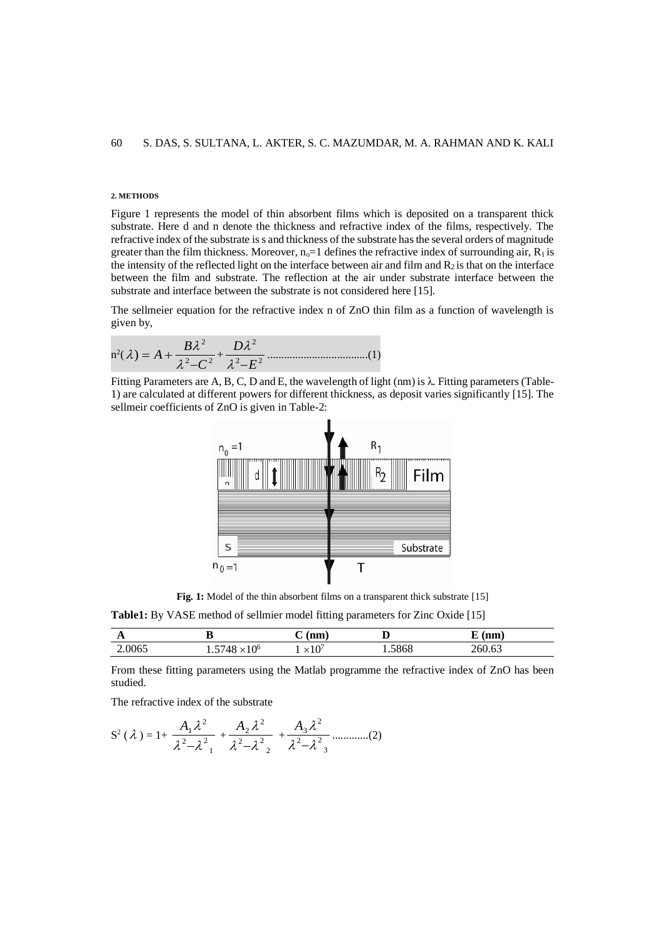### **2. METHODS**

Figure 1 represents the model of thin absorbent films which is deposited on a transparent thick substrate. Here d and n denote the thickness and refractive index of the films, respectively. The refractive index of the substrate is s and thickness of the substrate has the several orders of magnitude greater than the film thickness. Moreover,  $n_0=1$  defines the refractive index of surrounding air,  $R_1$  is the intensity of the reflected light on the interface between air and film and  $R_2$  is that on the interface between the film and substrate. The reflection at the air under substrate interface between the substrate and interface between the substrate is not considered here [15].

The sellmeier equation for the refractive index n of ZnO thin film as a function of wavelength is given by,

n 2 ( 2 2 2 ) *C B A* − = + + 2 2 2 *E D* − ....................................(1)

Fitting Parameters are A, B, C, D and E, the wavelength of light (nm) is  $\lambda$ . Fitting parameters (Table-1) are calculated at different powers for different thickness, as deposit varies significantly [15]. The sellmeir coefficients of ZnO is given in Table-2:



**Fig. 1:** Model of the thin absorbent films on a transparent thick substrate [15]

**Table1:** By VASE method of sellmier model fitting parameters for Zinc Oxide [15]

| $\mathbf{r}$ |                                            | nm  | v   | nm<br>                 |
|--------------|--------------------------------------------|-----|-----|------------------------|
| 2.0065       | $\sim 10^{6}$<br>148<br>1 V<br>᠇୰<br>. . J | ×IC | 868 | $\sim$<br>hl<br>200.00 |

From these fitting parameters using the Matlab programme the refractive index of ZnO has been studied.

The refractive index of the substrate

$$
S^{2}(\lambda) = 1 + \frac{A_{1}\lambda^{2}}{\lambda^{2}-\lambda^{2}_{1}} + \frac{A_{2}\lambda^{2}}{\lambda^{2}-\lambda^{2}_{2}} + \frac{A_{3}\lambda^{2}}{\lambda^{2}-\lambda^{2}_{3}} \dots \dots \dots \dots (2)
$$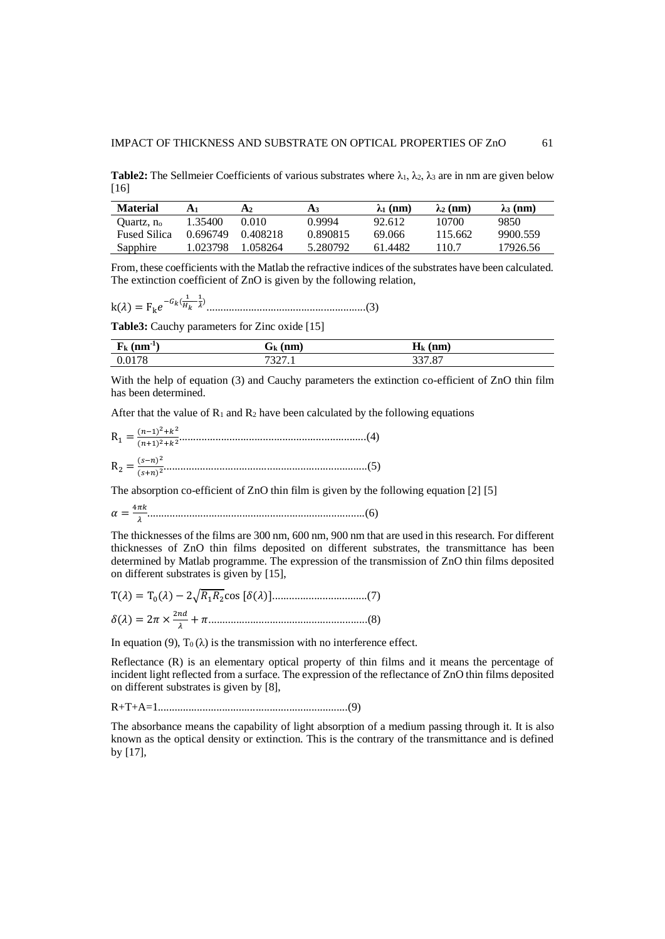**Table2:** The Sellmeier Coefficients of various substrates where  $\lambda_1, \lambda_2, \lambda_3$  are in nm are given below [16]

| <b>Material</b>        | A1       | A2       | A3       | $\lambda_1$ (nm) | $\lambda_2$ (nm) | $\lambda$ 3 (nm) |
|------------------------|----------|----------|----------|------------------|------------------|------------------|
| Ouartz, n <sub>o</sub> | 1.35400  | 0.010    | 0.9994   | 92.612           | 10700            | 9850             |
| <b>Fused Silica</b>    | 0.696749 | 0.408218 | 0.890815 | 69.066           | 115.662          | 9900.559         |
| Sapphire               | 1.023798 | 1 058264 | 5.280792 | 61 4482          | 110.7            | 17926.56         |

From, these coefficients with the Matlab the refractive indices of the substrates have been calculated. The extinction coefficient of ZnO is given by the following relation,

k() = Fk −( 1 − 1 ) .........................................................(3)

**Table3:** Cauchy parameters for Zinc oxide [15]

| .<br>$(nm^{\dagger})$<br>r k | (nm)<br>$\mathbf{u}$ | (nm)<br>$\mathbf{n}_k$         |
|------------------------------|----------------------|--------------------------------|
| 0178                         | .                    | 227 07<br>$\cdot$ O<br>- - - - |

With the help of equation (3) and Cauchy parameters the extinction co-efficient of ZnO thin film has been determined.

After that the value of  $\mathbb{R}_1$  and  $\mathbb{R}_2$  have been calculated by the following equations

The absorption co-efficient of ZnO thin film is given by the following equation [2] [5]

$$
\alpha = \frac{4\pi k}{\lambda}
$$
.................(6)

The thicknesses of the films are 300 nm, 600 nm, 900 nm that are used in this research. For different thicknesses of ZnO thin films deposited on different substrates, the transmittance has been determined by Matlab programme. The expression of the transmission of ZnO thin films deposited on different substrates is given by [15],

$$
T(\lambda) = T_0(\lambda) - 2\sqrt{R_1 R_2} \cos [\delta(\lambda)].
$$
  

$$
\delta(\lambda) = 2\pi \times \frac{2nd}{\lambda} + \pi
$$
.................(8)

In equation (9),  $T_0(\lambda)$  is the transmission with no interference effect.

Reflectance (R) is an elementary optical property of thin films and it means the percentage of incident light reflected from a surface. The expression of the reflectance of ZnO thin films deposited on different substrates is given by [8],

R+T+A=1....................................................................(9)

The absorbance means the capability of light absorption of a medium passing through it. It is also known as the optical density or extinction. This is the contrary of the transmittance and is defined by [17],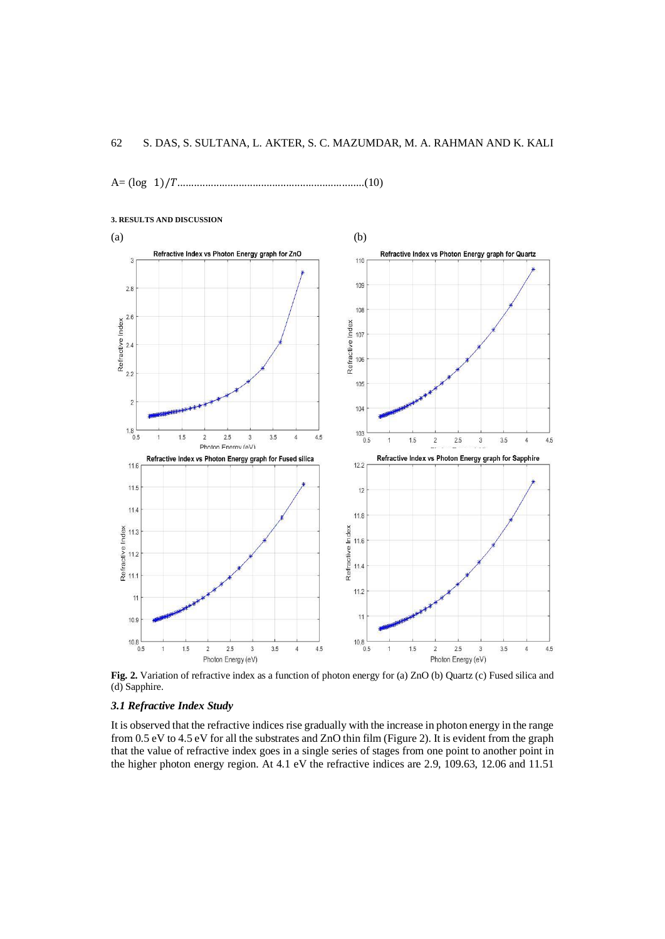A= (log 1)/...................................................................(10)



**3. RESULTS AND DISCUSSION**

**Fig. 2.** Variation of refractive index as a function of photon energy for (a) ZnO (b) Quartz (c) Fused silica and (d) Sapphire.

## *3.1 Refractive Index Study*

It is observed that the refractive indices rise gradually with the increase in photon energy in the range from 0.5 eV to 4.5 eV for all the substrates and ZnO thin film (Figure 2). It is evident from the graph that the value of refractive index goes in a single series of stages from one point to another point in the higher photon energy region. At 4.1 eV the refractive indices are 2.9, 109.63, 12.06 and 11.51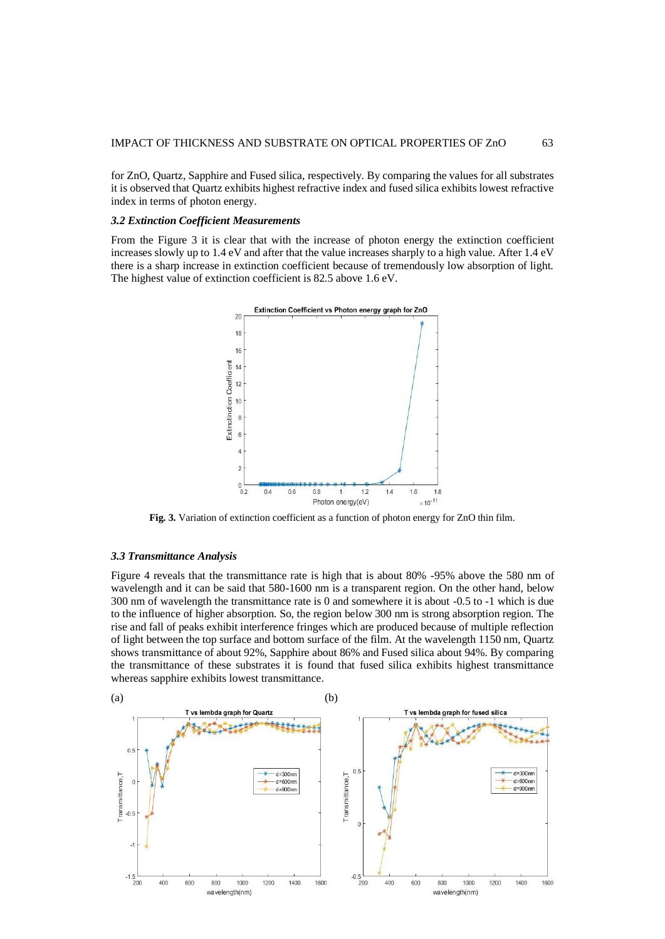for ZnO, Quartz, Sapphire and Fused silica, respectively. By comparing the values for all substrates it is observed that Quartz exhibits highest refractive index and fused silica exhibits lowest refractive index in terms of photon energy.

### *3.2 Extinction Coefficient Measurements*

From the Figure 3 it is clear that with the increase of photon energy the extinction coefficient increases slowly up to 1.4 eV and after that the value increases sharply to a high value. After 1.4 eV there is a sharp increase in extinction coefficient because of tremendously low absorption of light. The highest value of extinction coefficient is 82.5 above 1.6 eV.



**Fig. 3.** Variation of extinction coefficient as a function of photon energy for ZnO thin film.

### *3.3 Transmittance Analysis*

Figure 4 reveals that the transmittance rate is high that is about 80% -95% above the 580 nm of wavelength and it can be said that 580-1600 nm is a transparent region. On the other hand, below 300 nm of wavelength the transmittance rate is 0 and somewhere it is about -0.5 to -1 which is due to the influence of higher absorption. So, the region below 300 nm is strong absorption region. The rise and fall of peaks exhibit interference fringes which are produced because of multiple reflection of light between the top surface and bottom surface of the film. At the wavelength 1150 nm, Quartz shows transmittance of about 92%, Sapphire about 86% and Fused silica about 94%. By comparing the transmittance of these substrates it is found that fused silica exhibits highest transmittance whereas sapphire exhibits lowest transmittance.

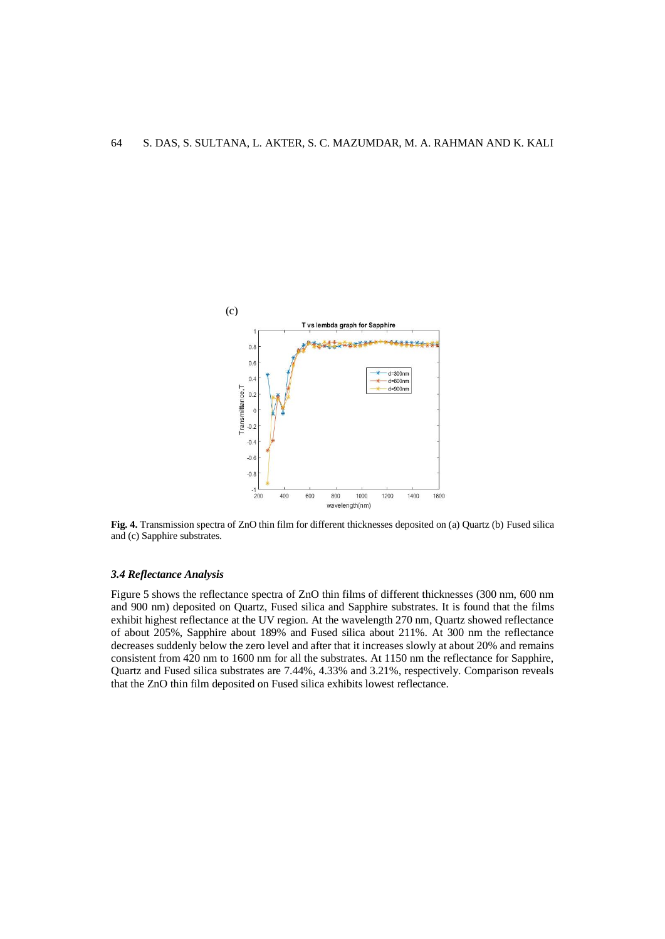

**Fig. 4.** Transmission spectra of ZnO thin film for different thicknesses deposited on (a) Quartz (b) Fused silica and (c) Sapphire substrates.

### *3.4 Reflectance Analysis*

Figure 5 shows the reflectance spectra of ZnO thin films of different thicknesses (300 nm, 600 nm and 900 nm) deposited on Quartz, Fused silica and Sapphire substrates. It is found that the films exhibit highest reflectance at the UV region. At the wavelength 270 nm, Quartz showed reflectance of about 205%, Sapphire about 189% and Fused silica about 211%. At 300 nm the reflectance decreases suddenly below the zero level and after that it increases slowly at about 20% and remains consistent from 420 nm to 1600 nm for all the substrates. At 1150 nm the reflectance for Sapphire, Quartz and Fused silica substrates are 7.44%, 4.33% and 3.21%, respectively. Comparison reveals that the ZnO thin film deposited on Fused silica exhibits lowest reflectance.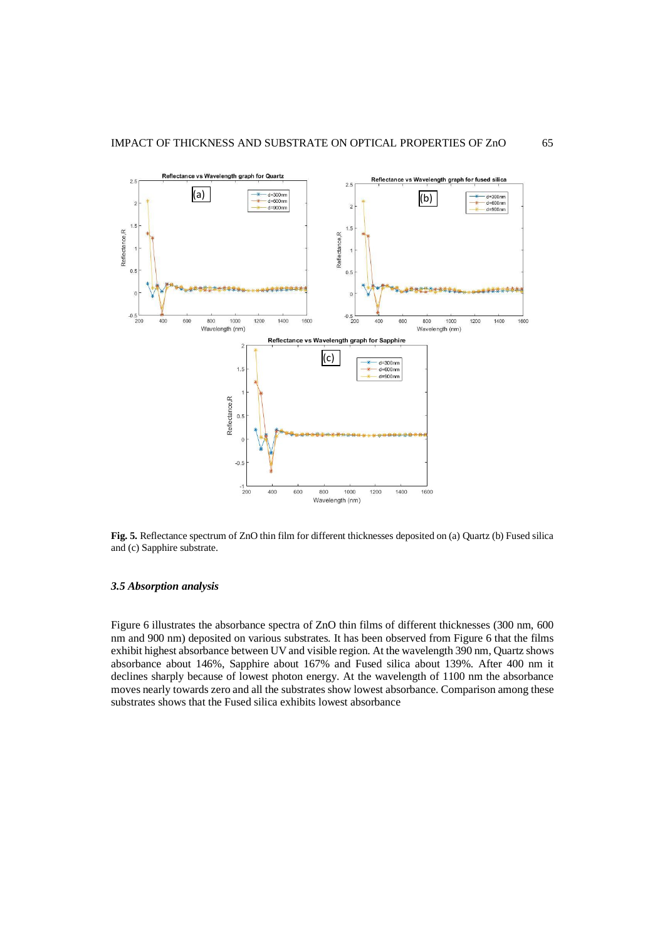

**Fig. 5.** Reflectance spectrum of ZnO thin film for different thicknesses deposited on (a) Quartz (b) Fused silica and (c) Sapphire substrate.

## *3.5 Absorption analysis*

Figure 6 illustrates the absorbance spectra of ZnO thin films of different thicknesses (300 nm, 600 nm and 900 nm) deposited on various substrates. It has been observed from Figure 6 that the films exhibit highest absorbance between UV and visible region. At the wavelength 390 nm, Quartz shows absorbance about 146%, Sapphire about 167% and Fused silica about 139%. After 400 nm it declines sharply because of lowest photon energy. At the wavelength of 1100 nm the absorbance moves nearly towards zero and all the substrates show lowest absorbance. Comparison among these substrates shows that the Fused silica exhibits lowest absorbance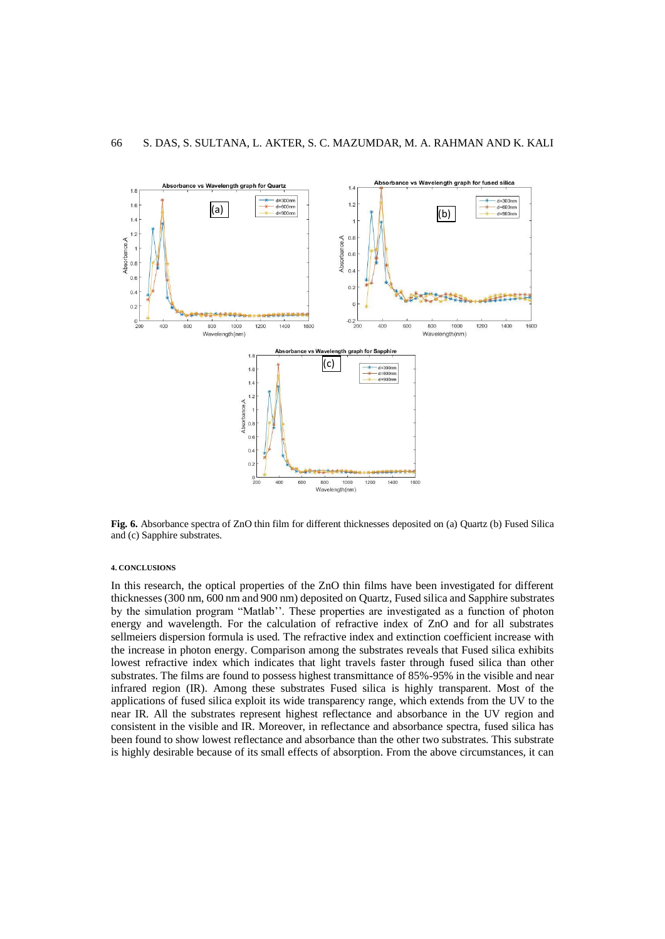

**Fig. 6.** Absorbance spectra of ZnO thin film for different thicknesses deposited on (a) Quartz (b) Fused Silica and (c) Sapphire substrates.

#### **4. CONCLUSIONS**

In this research, the optical properties of the ZnO thin films have been investigated for different thicknesses (300 nm, 600 nm and 900 nm) deposited on Quartz, Fused silica and Sapphire substrates by the simulation program "Matlab''. These properties are investigated as a function of photon energy and wavelength. For the calculation of refractive index of ZnO and for all substrates sellmeiers dispersion formula is used. The refractive index and extinction coefficient increase with the increase in photon energy. Comparison among the substrates reveals that Fused silica exhibits lowest refractive index which indicates that light travels faster through fused silica than other substrates. The films are found to possess highest transmittance of 85%-95% in the visible and near infrared region (IR). Among these substrates Fused silica is highly transparent. Most of the applications of fused silica exploit its wide transparency range, which extends from the UV to the near IR. All the substrates represent highest reflectance and absorbance in the UV region and consistent in the visible and IR. Moreover, in reflectance and absorbance spectra, fused silica has been found to show lowest reflectance and absorbance than the other two substrates. This substrate is highly desirable because of its small effects of absorption. From the above circumstances, it can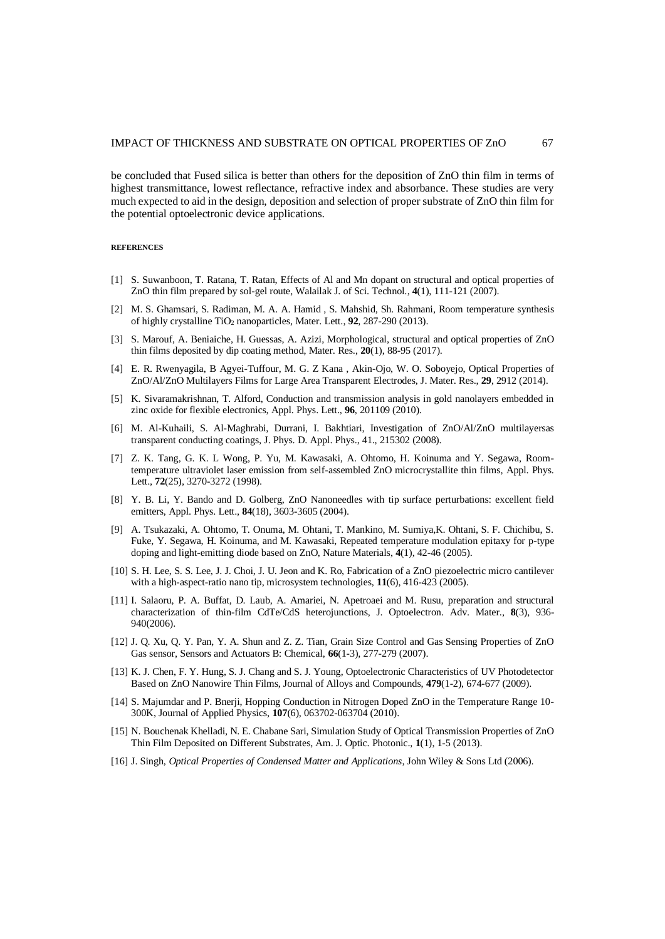be concluded that Fused silica is better than others for the deposition of ZnO thin film in terms of highest transmittance, lowest reflectance, refractive index and absorbance. These studies are very much expected to aid in the design, deposition and selection of proper substrate of ZnO thin film for the potential optoelectronic device applications.

#### **REFERENCES**

- [1] S. Suwanboon, T. Ratana, T. Ratan, Effects of Al and Mn dopant on structural and optical properties of ZnO thin film prepared by sol-gel route, Walailak J. of Sci. Technol., **4**(1), 111-121 (2007).
- [2] M. S. Ghamsari, S. Radiman, M. A. A. Hamid , S. Mahshid, Sh. Rahmani, Room temperature synthesis of highly crystalline TiO<sup>2</sup> nanoparticles, Mater. Lett., **92**, 287-290 (2013).
- [3] S. Marouf, A. Beniaiche, H. Guessas, A. Azizi, Morphological, structural and optical properties of ZnO thin films deposited by dip coating method, Mater. Res., **20**(1), 88-95 (2017).
- [4] E. R. Rwenyagila, B Agyei-Tuffour, M. G. Z Kana , Akin-Ojo, W. O. Soboyejo, Optical Properties of ZnO/Al/ZnO Multilayers Films for Large Area Transparent Electrodes, J. Mater. Res., **29**, 2912 (2014).
- [5] K. Sivaramakrishnan, T. Alford, Conduction and transmission analysis in gold nanolayers embedded in zinc oxide for flexible electronics, Appl. Phys. Lett., **96**, 201109 (2010).
- [6] M. Al-Kuhaili, S. Al-Maghrabi, Durrani, I. Bakhtiari, Investigation of ZnO/Al/ZnO multilayersas transparent conducting coatings, J. Phys. D. Appl. Phys., 41., 215302 (2008).
- [7] Z. K. Tang, G. K. L Wong, P. Yu, M. Kawasaki, A. Ohtomo, H. Koinuma and Y. Segawa, Roomtemperature ultraviolet laser emission from self-assembled ZnO microcrystallite thin films, Appl. Phys. Lett., **72**(25), 3270-3272 (1998).
- [8] Y. B. Li, Y. Bando and D. Golberg, ZnO Nanoneedles with tip surface perturbations: excellent field emitters, Appl. Phys. Lett., **84**(18), 3603-3605 (2004).
- [9] A. Tsukazaki, A. Ohtomo, T. Onuma, M. Ohtani, T. Mankino, M. Sumiya,K. Ohtani, S. F. Chichibu, S. Fuke, Y. Segawa, H. Koinuma, and M. Kawasaki, Repeated temperature modulation epitaxy for p-type doping and light-emitting diode based on ZnO, Nature Materials, **4**(1), 42-46 (2005).
- [10] S. H. Lee, S. S. Lee, J. J. Choi, J. U. Jeon and K. Ro, Fabrication of a ZnO piezoelectric micro cantilever with a high-aspect-ratio nano tip, microsystem technologies, **11**(6), 416-423 (2005).
- [11] I. Salaoru, P. A. Buffat, D. Laub, A. Amariei, N. Apetroaei and M. Rusu, preparation and structural characterization of thin-film CdTe/CdS heterojunctions, J. Optoelectron. Adv. Mater., **8**(3), 936- 940(2006).
- [12] J. Q. Xu, Q. Y. Pan, Y. A. Shun and Z. Z. Tian, Grain Size Control and Gas Sensing Properties of ZnO Gas sensor, Sensors and Actuators B: Chemical, **66**(1-3), 277-279 (2007).
- [13] K. J. Chen, F. Y. Hung, S. J. Chang and S. J. Young, Optoelectronic Characteristics of UV Photodetector Based on ZnO Nanowire Thin Films, Journal of Alloys and Compounds, **479**(1-2), 674-677 (2009).
- [14] S. Majumdar and P. Bnerji, Hopping Conduction in Nitrogen Doped ZnO in the Temperature Range 10- 300K, Journal of Applied Physics, **107**(6), 063702-063704 (2010).
- [15] N. Bouchenak Khelladi, N. E. Chabane Sari, Simulation Study of Optical Transmission Properties of ZnO Thin Film Deposited on Different Substrates, Am. J. Optic. Photonic., **1**(1), 1-5 (2013).
- [16] J. Singh, *Optical Properties of Condensed Matter and Applications*, John Wiley & Sons Ltd (2006).